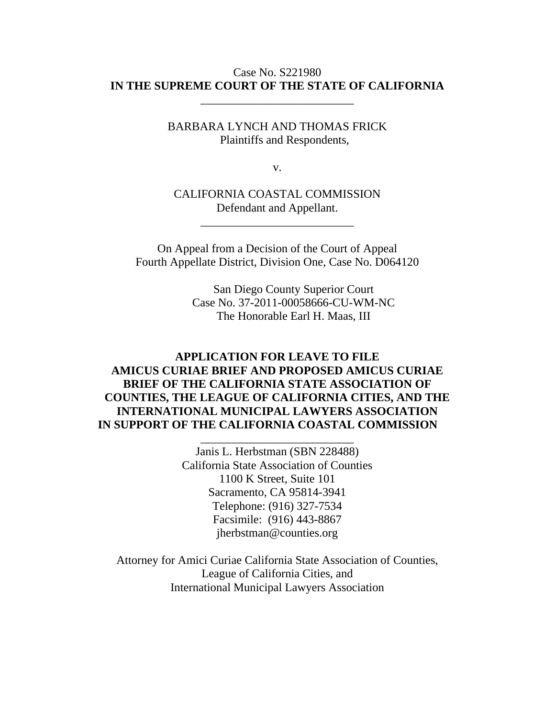### Case No. S221980 **IN THE SUPREME COURT OF THE STATE OF CALIFORNIA**

\_\_\_\_\_\_\_\_\_\_\_\_\_\_\_\_\_\_\_\_\_\_\_\_\_\_

BARBARA LYNCH AND THOMAS FRICK Plaintiffs and Respondents,

v.

CALIFORNIA COASTAL COMMISSION Defendant and Appellant.

\_\_\_\_\_\_\_\_\_\_\_\_\_\_\_\_\_\_\_\_\_\_\_\_\_\_

On Appeal from a Decision of the Court of Appeal Fourth Appellate District, Division One, Case No. D064120

> San Diego County Superior Court Case No. 37-2011-00058666-CU-WM-NC The Honorable Earl H. Maas, III

# **APPLICATION FOR LEAVE TO FILE AMICUS CURIAE BRIEF AND PROPOSED AMICUS CURIAE BRIEF OF THE CALIFORNIA STATE ASSOCIATION OF COUNTIES, THE LEAGUE OF CALIFORNIA CITIES, AND THE INTERNATIONAL MUNICIPAL LAWYERS ASSOCIATION IN SUPPORT OF THE CALIFORNIA COASTAL COMMISSION**

\_\_\_\_\_\_\_\_\_\_\_\_\_\_\_\_\_\_\_\_\_\_\_\_\_\_

Janis L. Herbstman (SBN 228488) California State Association of Counties 1100 K Street, Suite 101 Sacramento, CA 95814-3941 Telephone: (916) 327-7534 Facsimile: (916) 443-8867 jherbstman@counties.org

Attorney for Amici Curiae California State Association of Counties, League of California Cities, and International Municipal Lawyers Association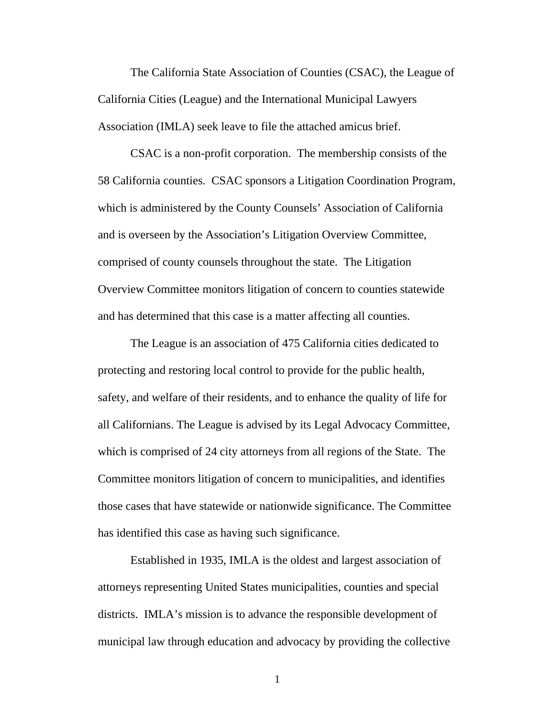The California State Association of Counties (CSAC), the League of California Cities (League) and the International Municipal Lawyers Association (IMLA) seek leave to file the attached amicus brief.

CSAC is a non-profit corporation. The membership consists of the 58 California counties. CSAC sponsors a Litigation Coordination Program, which is administered by the County Counsels' Association of California and is overseen by the Association's Litigation Overview Committee, comprised of county counsels throughout the state. The Litigation Overview Committee monitors litigation of concern to counties statewide and has determined that this case is a matter affecting all counties.

 The League is an association of 475 California cities dedicated to protecting and restoring local control to provide for the public health, safety, and welfare of their residents, and to enhance the quality of life for all Californians. The League is advised by its Legal Advocacy Committee, which is comprised of 24 city attorneys from all regions of the State. The Committee monitors litigation of concern to municipalities, and identifies those cases that have statewide or nationwide significance. The Committee has identified this case as having such significance.

Established in 1935, IMLA is the oldest and largest association of attorneys representing United States municipalities, counties and special districts. IMLA's mission is to advance the responsible development of municipal law through education and advocacy by providing the collective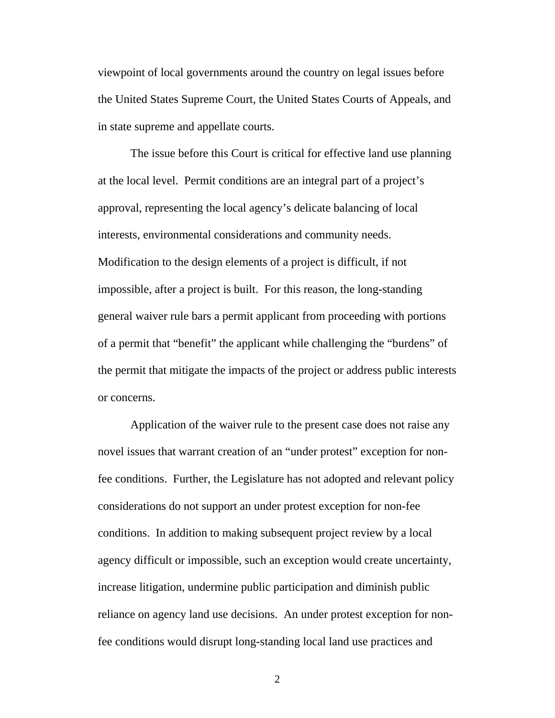viewpoint of local governments around the country on legal issues before the United States Supreme Court, the United States Courts of Appeals, and in state supreme and appellate courts.

The issue before this Court is critical for effective land use planning at the local level. Permit conditions are an integral part of a project's approval, representing the local agency's delicate balancing of local interests, environmental considerations and community needs. Modification to the design elements of a project is difficult, if not impossible, after a project is built. For this reason, the long-standing general waiver rule bars a permit applicant from proceeding with portions of a permit that "benefit" the applicant while challenging the "burdens" of the permit that mitigate the impacts of the project or address public interests or concerns.

Application of the waiver rule to the present case does not raise any novel issues that warrant creation of an "under protest" exception for nonfee conditions. Further, the Legislature has not adopted and relevant policy considerations do not support an under protest exception for non-fee conditions. In addition to making subsequent project review by a local agency difficult or impossible, such an exception would create uncertainty, increase litigation, undermine public participation and diminish public reliance on agency land use decisions. An under protest exception for nonfee conditions would disrupt long-standing local land use practices and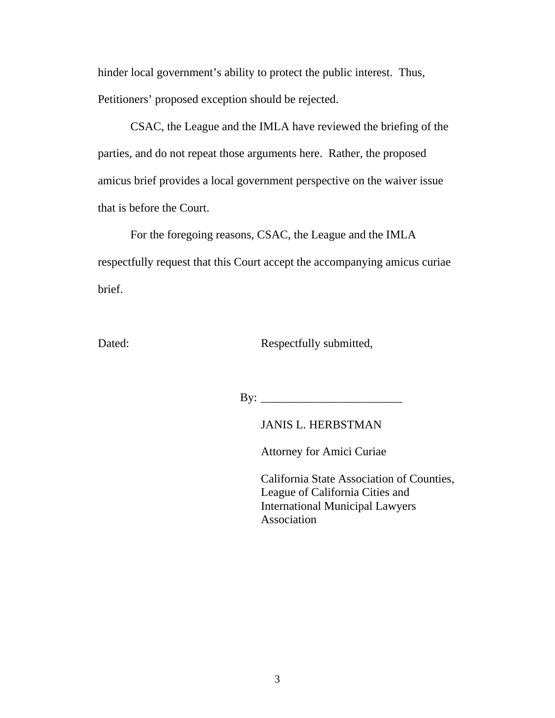hinder local government's ability to protect the public interest. Thus, Petitioners' proposed exception should be rejected.

CSAC, the League and the IMLA have reviewed the briefing of the parties, and do not repeat those arguments here. Rather, the proposed amicus brief provides a local government perspective on the waiver issue that is before the Court.

For the foregoing reasons, CSAC, the League and the IMLA respectfully request that this Court accept the accompanying amicus curiae brief.

Dated: Respectfully submitted,

By: \_\_\_\_\_\_\_\_\_\_\_\_\_\_\_\_\_\_\_\_\_\_\_\_

JANIS L. HERBSTMAN

Attorney for Amici Curiae

 California State Association of Counties, League of California Cities and International Municipal Lawyers Association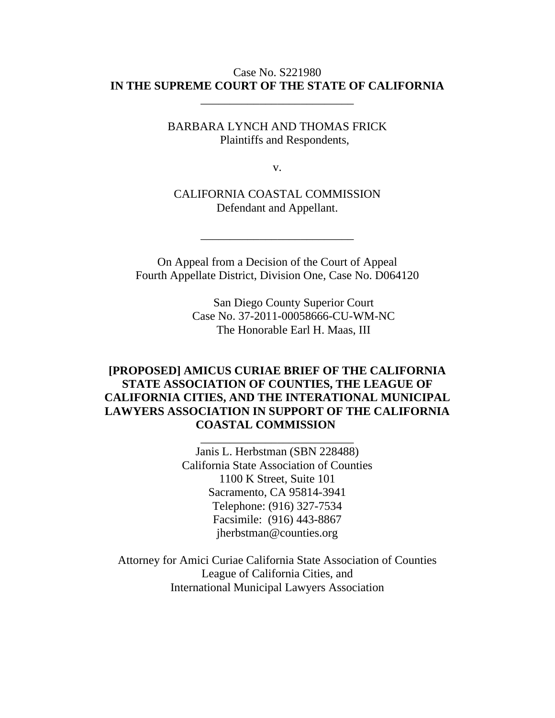### Case No. S221980 **IN THE SUPREME COURT OF THE STATE OF CALIFORNIA**

\_\_\_\_\_\_\_\_\_\_\_\_\_\_\_\_\_\_\_\_\_\_\_\_\_\_

BARBARA LYNCH AND THOMAS FRICK Plaintiffs and Respondents,

v.

CALIFORNIA COASTAL COMMISSION Defendant and Appellant.

On Appeal from a Decision of the Court of Appeal Fourth Appellate District, Division One, Case No. D064120

\_\_\_\_\_\_\_\_\_\_\_\_\_\_\_\_\_\_\_\_\_\_\_\_\_\_

San Diego County Superior Court Case No. 37-2011-00058666-CU-WM-NC The Honorable Earl H. Maas, III

# **[PROPOSED] AMICUS CURIAE BRIEF OF THE CALIFORNIA STATE ASSOCIATION OF COUNTIES, THE LEAGUE OF CALIFORNIA CITIES, AND THE INTERATIONAL MUNICIPAL LAWYERS ASSOCIATION IN SUPPORT OF THE CALIFORNIA COASTAL COMMISSION**

\_\_\_\_\_\_\_\_\_\_\_\_\_\_\_\_\_\_\_\_\_\_\_\_\_\_

Janis L. Herbstman (SBN 228488) California State Association of Counties 1100 K Street, Suite 101 Sacramento, CA 95814-3941 Telephone: (916) 327-7534 Facsimile: (916) 443-8867 jherbstman@counties.org

Attorney for Amici Curiae California State Association of Counties League of California Cities, and International Municipal Lawyers Association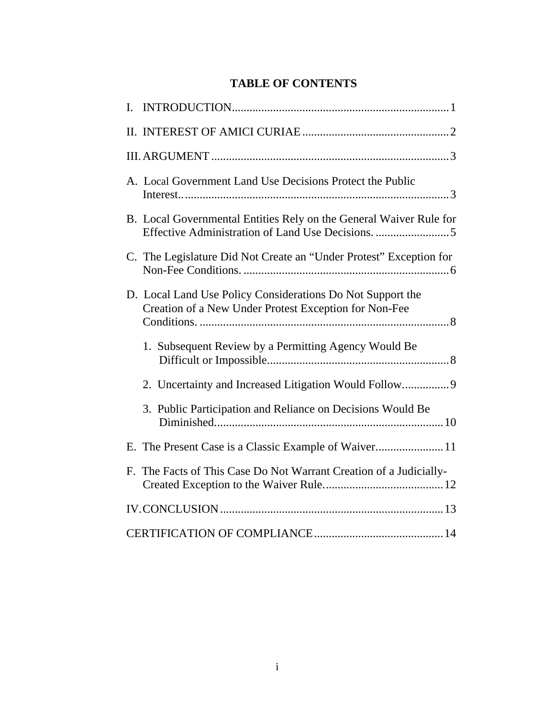# **TABLE OF CONTENTS**

|  | A. Local Government Land Use Decisions Protect the Public                                                           |  |
|--|---------------------------------------------------------------------------------------------------------------------|--|
|  | B. Local Governmental Entities Rely on the General Waiver Rule for                                                  |  |
|  | C. The Legislature Did Not Create an "Under Protest" Exception for                                                  |  |
|  | D. Local Land Use Policy Considerations Do Not Support the<br>Creation of a New Under Protest Exception for Non-Fee |  |
|  | 1. Subsequent Review by a Permitting Agency Would Be                                                                |  |
|  | 2. Uncertainty and Increased Litigation Would Follow                                                                |  |
|  | 3. Public Participation and Reliance on Decisions Would Be                                                          |  |
|  |                                                                                                                     |  |
|  | F. The Facts of This Case Do Not Warrant Creation of a Judicially-                                                  |  |
|  |                                                                                                                     |  |
|  |                                                                                                                     |  |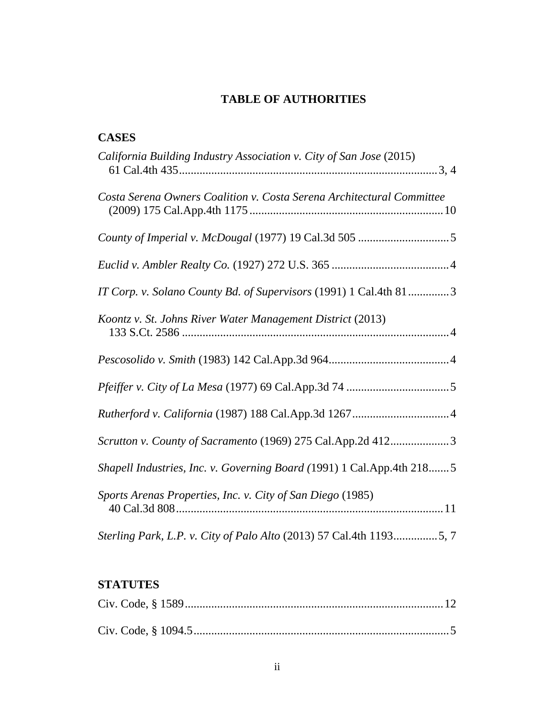# **TABLE OF AUTHORITIES**

# **CASES**

| California Building Industry Association v. City of San Jose (2015)   |
|-----------------------------------------------------------------------|
| Costa Serena Owners Coalition v. Costa Serena Architectural Committee |
|                                                                       |
|                                                                       |
| IT Corp. v. Solano County Bd. of Supervisors (1991) 1 Cal.4th 813     |
| Koontz v. St. Johns River Water Management District (2013)            |
|                                                                       |
|                                                                       |
|                                                                       |
| Scrutton v. County of Sacramento (1969) 275 Cal.App.2d 4123           |
| Shapell Industries, Inc. v. Governing Board (1991) 1 Cal.App.4th 2185 |
| Sports Arenas Properties, Inc. v. City of San Diego (1985)            |
| Sterling Park, L.P. v. City of Palo Alto (2013) 57 Cal.4th 11935, 7   |

# **STATUTES**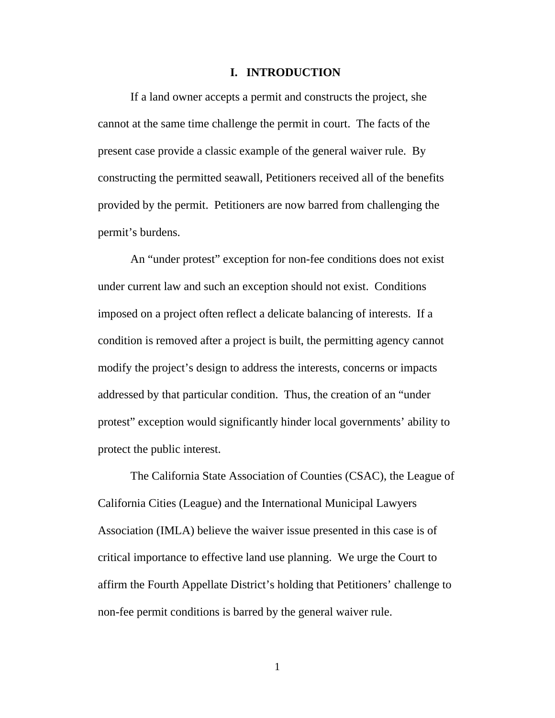#### **I. INTRODUCTION**

If a land owner accepts a permit and constructs the project, she cannot at the same time challenge the permit in court. The facts of the present case provide a classic example of the general waiver rule. By constructing the permitted seawall, Petitioners received all of the benefits provided by the permit. Petitioners are now barred from challenging the permit's burdens.

An "under protest" exception for non-fee conditions does not exist under current law and such an exception should not exist. Conditions imposed on a project often reflect a delicate balancing of interests. If a condition is removed after a project is built, the permitting agency cannot modify the project's design to address the interests, concerns or impacts addressed by that particular condition. Thus, the creation of an "under protest" exception would significantly hinder local governments' ability to protect the public interest.

The California State Association of Counties (CSAC), the League of California Cities (League) and the International Municipal Lawyers Association (IMLA) believe the waiver issue presented in this case is of critical importance to effective land use planning. We urge the Court to affirm the Fourth Appellate District's holding that Petitioners' challenge to non-fee permit conditions is barred by the general waiver rule.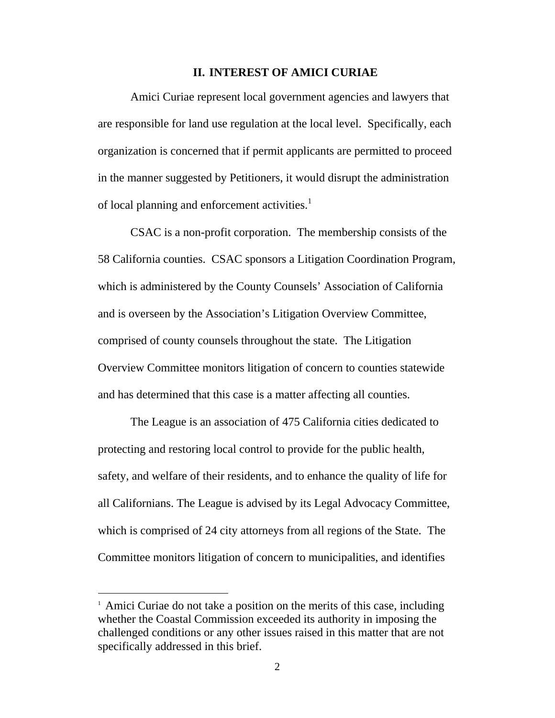#### **II. INTEREST OF AMICI CURIAE**

Amici Curiae represent local government agencies and lawyers that are responsible for land use regulation at the local level. Specifically, each organization is concerned that if permit applicants are permitted to proceed in the manner suggested by Petitioners, it would disrupt the administration of local planning and enforcement activities.<sup>1</sup>

CSAC is a non-profit corporation. The membership consists of the 58 California counties. CSAC sponsors a Litigation Coordination Program, which is administered by the County Counsels' Association of California and is overseen by the Association's Litigation Overview Committee, comprised of county counsels throughout the state. The Litigation Overview Committee monitors litigation of concern to counties statewide and has determined that this case is a matter affecting all counties.

The League is an association of 475 California cities dedicated to protecting and restoring local control to provide for the public health, safety, and welfare of their residents, and to enhance the quality of life for all Californians. The League is advised by its Legal Advocacy Committee, which is comprised of 24 city attorneys from all regions of the State. The Committee monitors litigation of concern to municipalities, and identifies

 $\overline{a}$ 

<sup>&</sup>lt;sup>1</sup> Amici Curiae do not take a position on the merits of this case, including whether the Coastal Commission exceeded its authority in imposing the challenged conditions or any other issues raised in this matter that are not specifically addressed in this brief.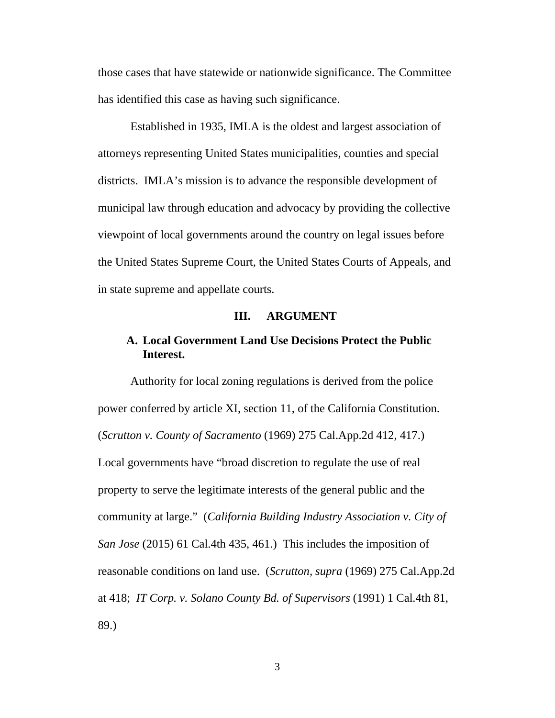those cases that have statewide or nationwide significance. The Committee has identified this case as having such significance.

Established in 1935, IMLA is the oldest and largest association of attorneys representing United States municipalities, counties and special districts. IMLA's mission is to advance the responsible development of municipal law through education and advocacy by providing the collective viewpoint of local governments around the country on legal issues before the United States Supreme Court, the United States Courts of Appeals, and in state supreme and appellate courts.

#### **III. ARGUMENT**

### **A. Local Government Land Use Decisions Protect the Public Interest.**

Authority for local zoning regulations is derived from the police power conferred by article XI, section 11, of the California Constitution. (*Scrutton v. County of Sacramento* (1969) 275 Cal.App.2d 412, 417.) Local governments have "broad discretion to regulate the use of real property to serve the legitimate interests of the general public and the community at large." (*California Building Industry Association v. City of San Jose* (2015) 61 Cal.4th 435, 461.) This includes the imposition of reasonable conditions on land use. (*Scrutton, supra* (1969) 275 Cal.App.2d at 418; *IT Corp. v. Solano County Bd. of Supervisors* (1991) 1 Cal.4th 81, 89.)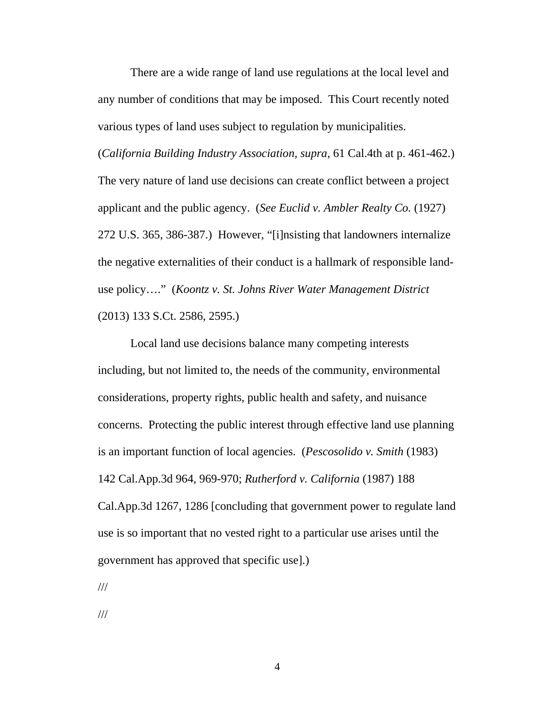There are a wide range of land use regulations at the local level and any number of conditions that may be imposed. This Court recently noted various types of land uses subject to regulation by municipalities.

(*California Building Industry Association, supra,* 61 Cal.4th at p. 461-462.) The very nature of land use decisions can create conflict between a project applicant and the public agency. (*See Euclid v. Ambler Realty Co.* (1927) 272 U.S. 365, 386-387.) However, "[i]nsisting that landowners internalize the negative externalities of their conduct is a hallmark of responsible landuse policy…." (*Koontz v. St. Johns River Water Management District* (2013) 133 S.Ct. 2586, 2595.)

Local land use decisions balance many competing interests including, but not limited to, the needs of the community, environmental considerations, property rights, public health and safety, and nuisance concerns. Protecting the public interest through effective land use planning is an important function of local agencies. (*Pescosolido v. Smith* (1983) 142 Cal.App.3d 964, 969-970; *Rutherford v. California* (1987) 188

Cal.App.3d 1267, 1286 [concluding that government power to regulate land use is so important that no vested right to a particular use arises until the government has approved that specific use].)

///

///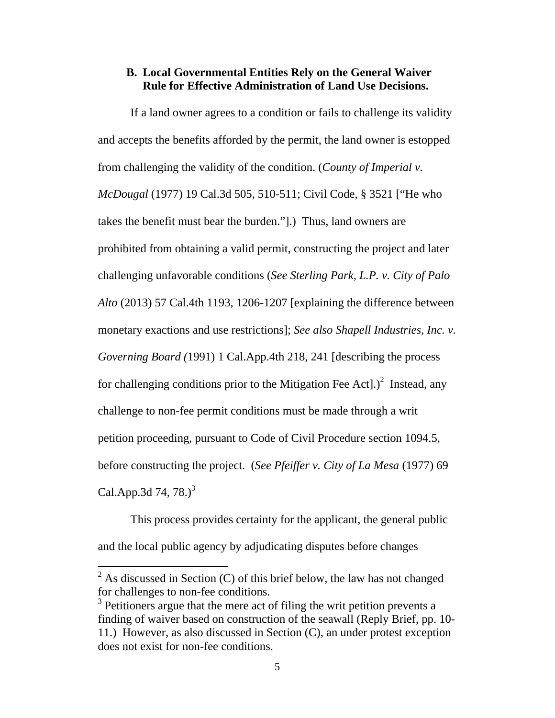### **B. Local Governmental Entities Rely on the General Waiver Rule for Effective Administration of Land Use Decisions.**

If a land owner agrees to a condition or fails to challenge its validity and accepts the benefits afforded by the permit, the land owner is estopped from challenging the validity of the condition. (*County of Imperial v. McDougal* (1977) 19 Cal.3d 505, 510-511; Civil Code, § 3521 ["He who takes the benefit must bear the burden."].) Thus, land owners are prohibited from obtaining a valid permit, constructing the project and later challenging unfavorable conditions (*See Sterling Park, L.P. v. City of Palo Alto* (2013) 57 Cal.4th 1193, 1206-1207 [explaining the difference between monetary exactions and use restrictions]; *See also Shapell Industries, Inc. v. Governing Board (*1991) 1 Cal.App.4th 218, 241 [describing the process for challenging conditions prior to the Mitigation Fee Act].)<sup>2</sup> Instead, any challenge to non-fee permit conditions must be made through a writ petition proceeding, pursuant to Code of Civil Procedure section 1094.5, before constructing the project. (*See Pfeiffer v. City of La Mesa* (1977) 69 Cal.App.3d 74, 78. $)^3$ 

This process provides certainty for the applicant, the general public and the local public agency by adjudicating disputes before changes

 $\overline{a}$ 

 $2^2$  As discussed in Section (C) of this brief below, the law has not changed for challenges to non-fee conditions.

 $3$  Petitioners argue that the mere act of filing the writ petition prevents a finding of waiver based on construction of the seawall (Reply Brief, pp. 10- 11.) However, as also discussed in Section (C), an under protest exception does not exist for non-fee conditions.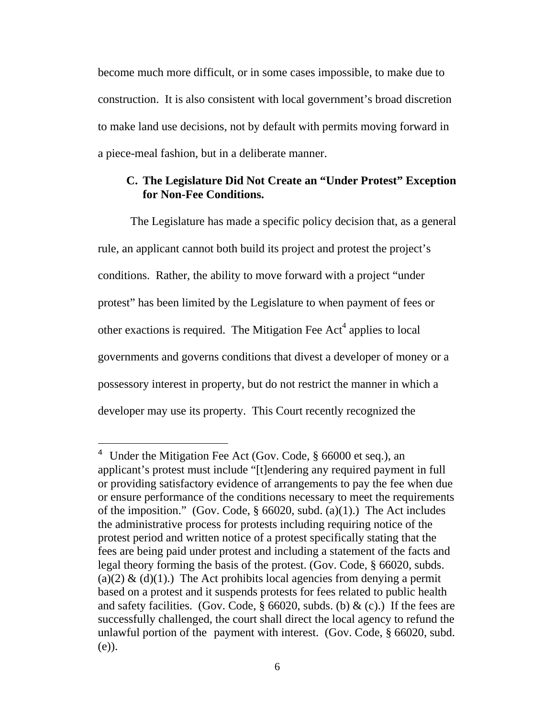become much more difficult, or in some cases impossible, to make due to construction. It is also consistent with local government's broad discretion to make land use decisions, not by default with permits moving forward in a piece-meal fashion, but in a deliberate manner.

### **C. The Legislature Did Not Create an "Under Protest" Exception for Non-Fee Conditions.**

The Legislature has made a specific policy decision that, as a general rule, an applicant cannot both build its project and protest the project's conditions. Rather, the ability to move forward with a project "under protest" has been limited by the Legislature to when payment of fees or other exactions is required. The Mitigation Fee  $Act<sup>4</sup>$  applies to local governments and governs conditions that divest a developer of money or a possessory interest in property, but do not restrict the manner in which a developer may use its property. This Court recently recognized the

 $\overline{a}$ 

<sup>&</sup>lt;sup>4</sup> Under the Mitigation Fee Act (Gov. Code, § 66000 et seq.), an applicant's protest must include "[t]endering any required payment in full or providing satisfactory evidence of arrangements to pay the fee when due or ensure performance of the conditions necessary to meet the requirements of the imposition." (Gov. Code,  $\S 66020$ , subd. (a)(1).) The Act includes the administrative process for protests including requiring notice of the protest period and written notice of a protest specifically stating that the fees are being paid under protest and including a statement of the facts and legal theory forming the basis of the protest. (Gov. Code, § 66020, subds. (a)(2)  $\&$  (d)(1).) The Act prohibits local agencies from denying a permit based on a protest and it suspends protests for fees related to public health and safety facilities. (Gov. Code,  $\S$  66020, subds. (b) & (c).) If the fees are successfully challenged, the court shall direct the local agency to refund the unlawful portion of the payment with interest. (Gov. Code, § 66020, subd. (e)).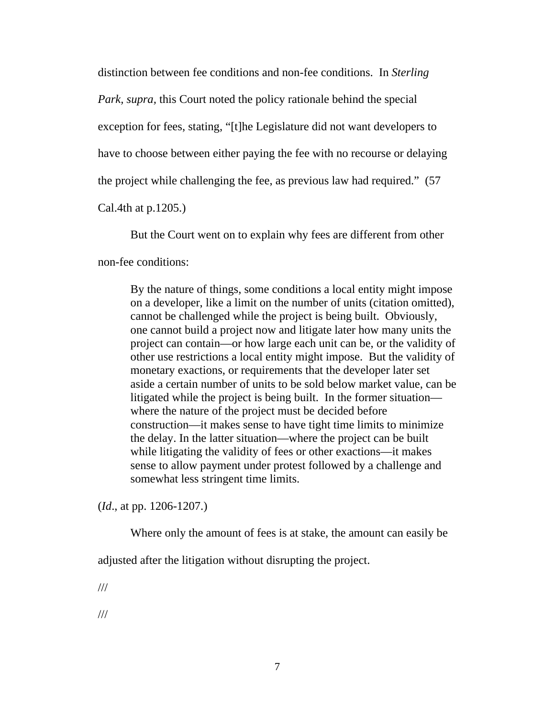distinction between fee conditions and non-fee conditions. In *Sterling Park, supra,* this Court noted the policy rationale behind the special exception for fees, stating, "[t]he Legislature did not want developers to have to choose between either paying the fee with no recourse or delaying the project while challenging the fee, as previous law had required." (57

Cal.4th at p.1205.)

But the Court went on to explain why fees are different from other

non-fee conditions:

By the nature of things, some conditions a local entity might impose on a developer, like a limit on the number of units (citation omitted), cannot be challenged while the project is being built. Obviously, one cannot build a project now and litigate later how many units the project can contain—or how large each unit can be, or the validity of other use restrictions a local entity might impose. But the validity of monetary exactions, or requirements that the developer later set aside a certain number of units to be sold below market value, can be litigated while the project is being built. In the former situation where the nature of the project must be decided before construction—it makes sense to have tight time limits to minimize the delay. In the latter situation—where the project can be built while litigating the validity of fees or other exactions—it makes sense to allow payment under protest followed by a challenge and somewhat less stringent time limits.

(*Id*., at pp. 1206-1207.)

Where only the amount of fees is at stake, the amount can easily be

adjusted after the litigation without disrupting the project.

///

///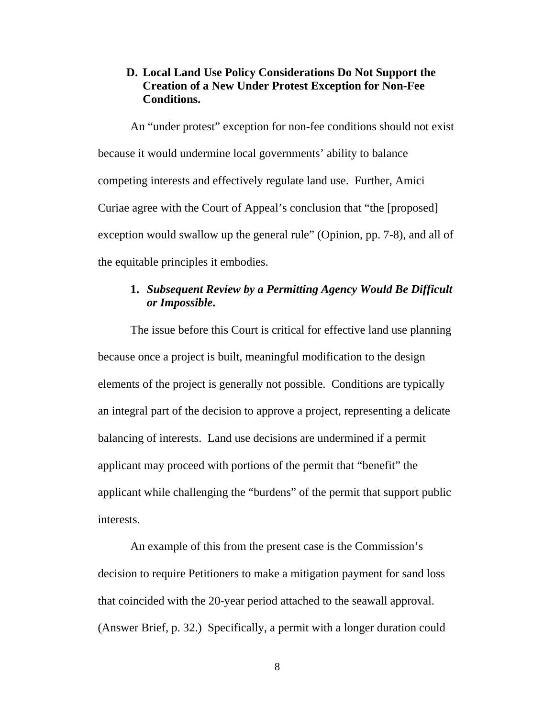### **D. Local Land Use Policy Considerations Do Not Support the Creation of a New Under Protest Exception for Non-Fee Conditions.**

An "under protest" exception for non-fee conditions should not exist because it would undermine local governments' ability to balance competing interests and effectively regulate land use. Further, Amici Curiae agree with the Court of Appeal's conclusion that "the [proposed] exception would swallow up the general rule" (Opinion, pp. 7-8), and all of the equitable principles it embodies.

### **1.** *Subsequent Review by a Permitting Agency Would Be Difficult or Impossible***.**

The issue before this Court is critical for effective land use planning because once a project is built, meaningful modification to the design elements of the project is generally not possible. Conditions are typically an integral part of the decision to approve a project, representing a delicate balancing of interests. Land use decisions are undermined if a permit applicant may proceed with portions of the permit that "benefit" the applicant while challenging the "burdens" of the permit that support public interests.

An example of this from the present case is the Commission's decision to require Petitioners to make a mitigation payment for sand loss that coincided with the 20-year period attached to the seawall approval. (Answer Brief, p. 32.) Specifically, a permit with a longer duration could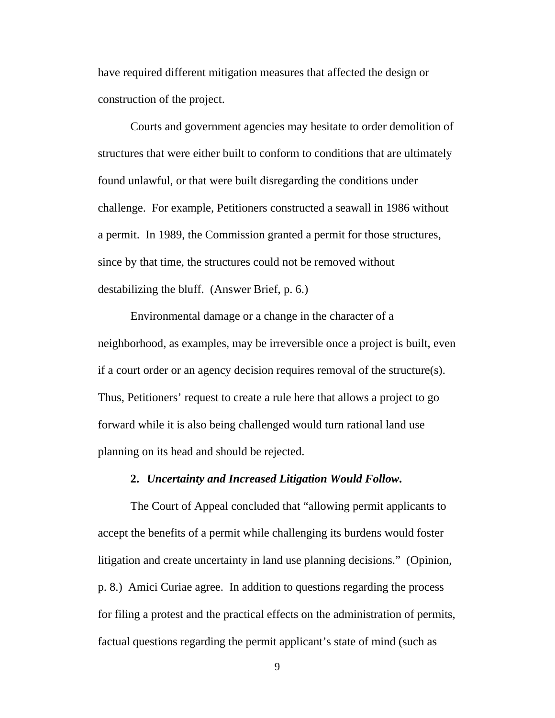have required different mitigation measures that affected the design or construction of the project.

Courts and government agencies may hesitate to order demolition of structures that were either built to conform to conditions that are ultimately found unlawful, or that were built disregarding the conditions under challenge. For example, Petitioners constructed a seawall in 1986 without a permit. In 1989, the Commission granted a permit for those structures, since by that time, the structures could not be removed without destabilizing the bluff. (Answer Brief, p. 6.)

Environmental damage or a change in the character of a neighborhood, as examples, may be irreversible once a project is built, even if a court order or an agency decision requires removal of the structure(s). Thus, Petitioners' request to create a rule here that allows a project to go forward while it is also being challenged would turn rational land use planning on its head and should be rejected.

#### **2.** *Uncertainty and Increased Litigation Would Follow***.**

The Court of Appeal concluded that "allowing permit applicants to accept the benefits of a permit while challenging its burdens would foster litigation and create uncertainty in land use planning decisions." (Opinion, p. 8.) Amici Curiae agree. In addition to questions regarding the process for filing a protest and the practical effects on the administration of permits, factual questions regarding the permit applicant's state of mind (such as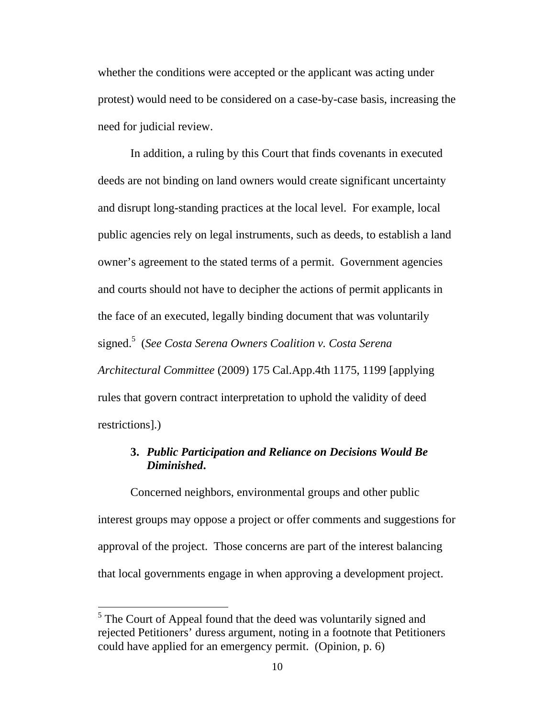whether the conditions were accepted or the applicant was acting under protest) would need to be considered on a case-by-case basis, increasing the need for judicial review.

In addition, a ruling by this Court that finds covenants in executed deeds are not binding on land owners would create significant uncertainty and disrupt long-standing practices at the local level. For example, local public agencies rely on legal instruments, such as deeds, to establish a land owner's agreement to the stated terms of a permit. Government agencies and courts should not have to decipher the actions of permit applicants in the face of an executed, legally binding document that was voluntarily signed.5 (*See Costa Serena Owners Coalition v. Costa Serena Architectural Committee* (2009) 175 Cal.App.4th 1175, 1199 [applying rules that govern contract interpretation to uphold the validity of deed restrictions].)

# **3.** *Public Participation and Reliance on Decisions Would Be Diminished***.**

Concerned neighbors, environmental groups and other public interest groups may oppose a project or offer comments and suggestions for approval of the project. Those concerns are part of the interest balancing that local governments engage in when approving a development project.

 $\overline{a}$ 

<sup>&</sup>lt;sup>5</sup> The Court of Appeal found that the deed was voluntarily signed and rejected Petitioners' duress argument, noting in a footnote that Petitioners could have applied for an emergency permit. (Opinion, p. 6)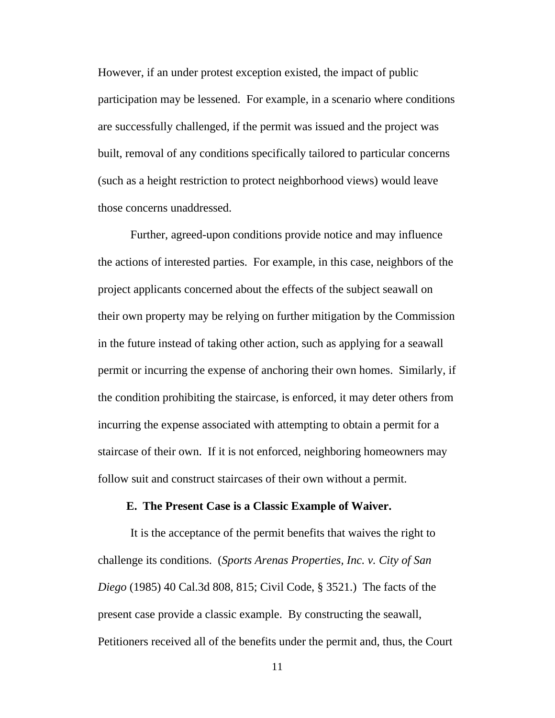However, if an under protest exception existed, the impact of public participation may be lessened. For example, in a scenario where conditions are successfully challenged, if the permit was issued and the project was built, removal of any conditions specifically tailored to particular concerns (such as a height restriction to protect neighborhood views) would leave those concerns unaddressed.

Further, agreed-upon conditions provide notice and may influence the actions of interested parties. For example, in this case, neighbors of the project applicants concerned about the effects of the subject seawall on their own property may be relying on further mitigation by the Commission in the future instead of taking other action, such as applying for a seawall permit or incurring the expense of anchoring their own homes. Similarly, if the condition prohibiting the staircase, is enforced, it may deter others from incurring the expense associated with attempting to obtain a permit for a staircase of their own. If it is not enforced, neighboring homeowners may follow suit and construct staircases of their own without a permit.

#### **E. The Present Case is a Classic Example of Waiver.**

It is the acceptance of the permit benefits that waives the right to challenge its conditions. (*Sports Arenas Properties, Inc. v. City of San Diego* (1985) 40 Cal.3d 808, 815; Civil Code, § 3521.) The facts of the present case provide a classic example. By constructing the seawall, Petitioners received all of the benefits under the permit and, thus, the Court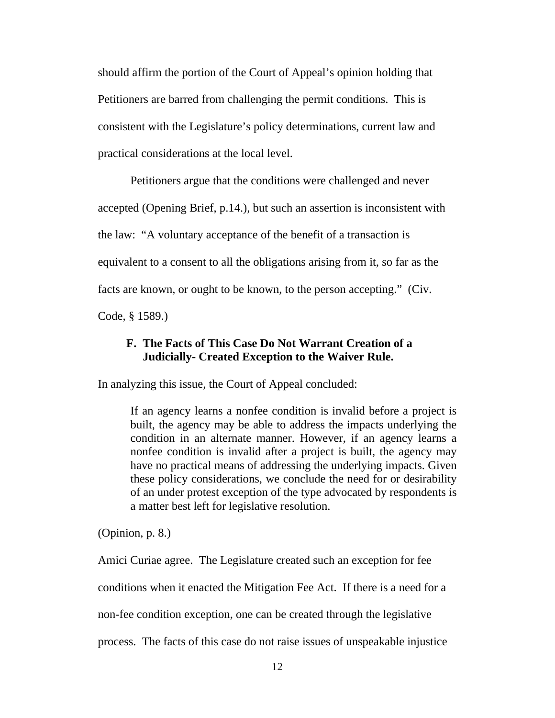should affirm the portion of the Court of Appeal's opinion holding that Petitioners are barred from challenging the permit conditions. This is consistent with the Legislature's policy determinations, current law and practical considerations at the local level.

Petitioners argue that the conditions were challenged and never

accepted (Opening Brief, p.14.), but such an assertion is inconsistent with

the law: "A voluntary acceptance of the benefit of a transaction is

equivalent to a consent to all the obligations arising from it, so far as the

facts are known, or ought to be known, to the person accepting." (Civ.

Code, § 1589.)

### **F. The Facts of This Case Do Not Warrant Creation of a Judicially- Created Exception to the Waiver Rule.**

In analyzing this issue, the Court of Appeal concluded:

If an agency learns a nonfee condition is invalid before a project is built, the agency may be able to address the impacts underlying the condition in an alternate manner. However, if an agency learns a nonfee condition is invalid after a project is built, the agency may have no practical means of addressing the underlying impacts. Given these policy considerations, we conclude the need for or desirability of an under protest exception of the type advocated by respondents is a matter best left for legislative resolution.

(Opinion, p. 8.)

Amici Curiae agree. The Legislature created such an exception for fee

conditions when it enacted the Mitigation Fee Act. If there is a need for a

non-fee condition exception, one can be created through the legislative

process. The facts of this case do not raise issues of unspeakable injustice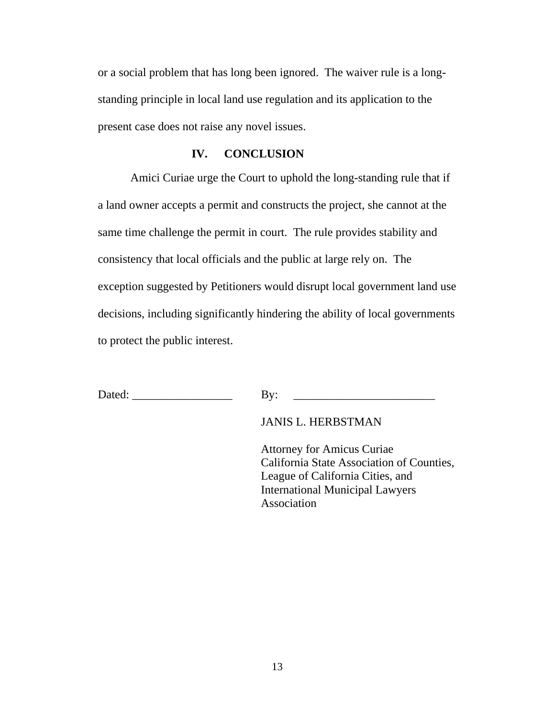or a social problem that has long been ignored. The waiver rule is a longstanding principle in local land use regulation and its application to the present case does not raise any novel issues.

#### **IV. CONCLUSION**

Amici Curiae urge the Court to uphold the long-standing rule that if a land owner accepts a permit and constructs the project, she cannot at the same time challenge the permit in court. The rule provides stability and consistency that local officials and the public at large rely on. The exception suggested by Petitioners would disrupt local government land use decisions, including significantly hindering the ability of local governments to protect the public interest.

Dated: \_\_\_\_\_\_\_\_\_\_\_\_\_\_\_\_\_ By: \_\_\_\_\_\_\_\_\_\_\_\_\_\_\_\_\_\_\_\_\_\_\_\_

JANIS L. HERBSTMAN

 Attorney for Amicus Curiae California State Association of Counties, League of California Cities, and International Municipal Lawyers Association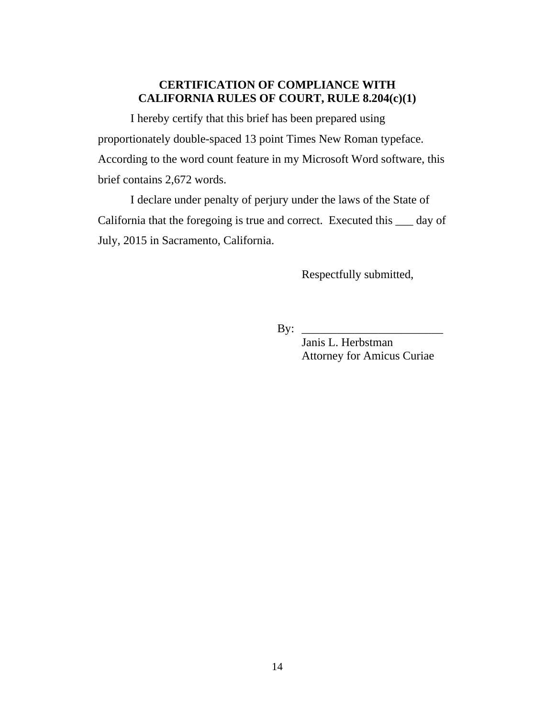### **CERTIFICATION OF COMPLIANCE WITH CALIFORNIA RULES OF COURT, RULE 8.204(c)(1)**

I hereby certify that this brief has been prepared using proportionately double-spaced 13 point Times New Roman typeface. According to the word count feature in my Microsoft Word software, this brief contains 2,672 words.

I declare under penalty of perjury under the laws of the State of California that the foregoing is true and correct. Executed this \_\_\_ day of July, 2015 in Sacramento, California.

Respectfully submitted,

By:  $\frac{1}{\sqrt{1-\frac{1}{2}}\sqrt{1-\frac{1}{2}}\sqrt{1-\frac{1}{2}}\sqrt{1-\frac{1}{2}}\sqrt{1-\frac{1}{2}}\sqrt{1-\frac{1}{2}}\sqrt{1-\frac{1}{2}}\sqrt{1-\frac{1}{2}}\sqrt{1-\frac{1}{2}}\sqrt{1-\frac{1}{2}}\sqrt{1-\frac{1}{2}}\sqrt{1-\frac{1}{2}}\sqrt{1-\frac{1}{2}}\sqrt{1-\frac{1}{2}}\sqrt{1-\frac{1}{2}}\sqrt{1-\frac{1}{2}}\sqrt{1-\frac{1}{2}}\sqrt{1-\frac{1}{2}}\sqrt{1-\frac{1}{2}}\sqrt$ 

 Janis L. Herbstman Attorney for Amicus Curiae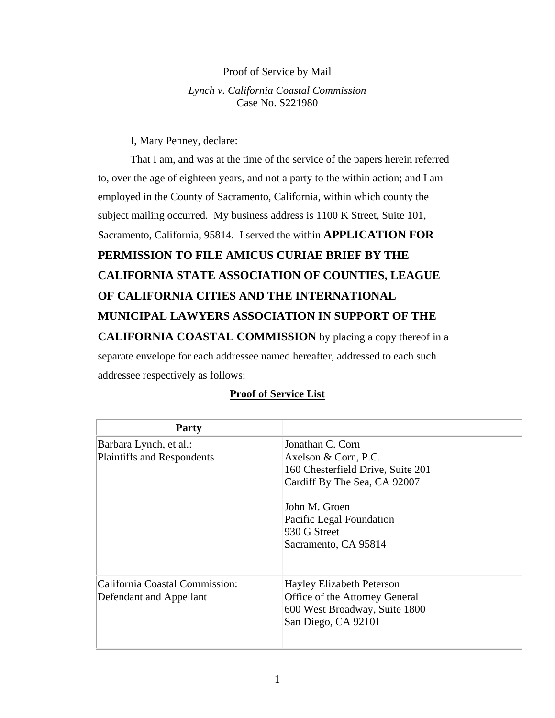#### Proof of Service by Mail

#### *Lynch v. California Coastal Commission*  Case No. S221980

I, Mary Penney, declare:

 That I am, and was at the time of the service of the papers herein referred to, over the age of eighteen years, and not a party to the within action; and I am employed in the County of Sacramento, California, within which county the subject mailing occurred. My business address is 1100 K Street, Suite 101, Sacramento, California, 95814. I served the within **APPLICATION FOR PERMISSION TO FILE AMICUS CURIAE BRIEF BY THE CALIFORNIA STATE ASSOCIATION OF COUNTIES, LEAGUE OF CALIFORNIA CITIES AND THE INTERNATIONAL MUNICIPAL LAWYERS ASSOCIATION IN SUPPORT OF THE CALIFORNIA COASTAL COMMISSION** by placing a copy thereof in a separate envelope for each addressee named hereafter, addressed to each such addressee respectively as follows:

# **Party**  Barbara Lynch, et al.: Plaintiffs and Respondents Jonathan C. Corn Axelson & Corn, P.C. 160 Chesterfield Drive, Suite 201 Cardiff By The Sea, CA 92007 John M. Groen Pacific Legal Foundation 930 G Street Sacramento, CA 95814 California Coastal Commission: Defendant and Appellant Hayley Elizabeth Peterson Office of the Attorney General 600 West Broadway, Suite 1800 San Diego, CA 92101

# **Proof of Service List**